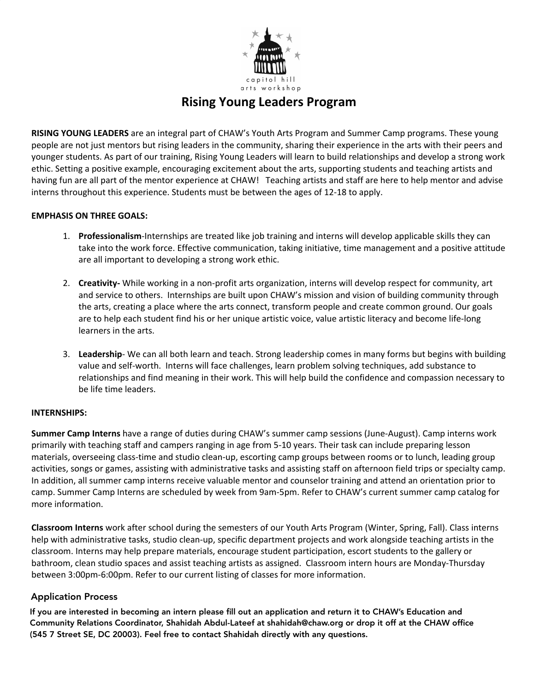

# **Rising Young Leaders Program**

**RISING YOUNG LEADERS** are an integral part of CHAW's Youth Arts Program and Summer Camp programs. These young people are not just mentors but rising leaders in the community, sharing their experience in the arts with their peers and younger students. As part of our training, Rising Young Leaders will learn to build relationships and develop a strong work ethic. Setting a positive example, encouraging excitement about the arts, supporting students and teaching artists and having fun are all part of the mentor experience at CHAW! Teaching artists and staff are here to help mentor and advise interns throughout this experience. Students must be between the ages of 12-18 to apply.

## **EMPHASIS ON THREE GOALS:**

- 1. **Professionalism**-Internships are treated like job training and interns will develop applicable skills they can take into the work force. Effective communication, taking initiative, time management and a positive attitude are all important to developing a strong work ethic.
- 2. **Creativity-** While working in a non-profit arts organization, interns will develop respect for community, art and service to others. Internships are built upon CHAW's mission and vision of building community through the arts, creating a place where the arts connect, transform people and create common ground. Our goals are to help each student find his or her unique artistic voice, value artistic literacy and become life-long learners in the arts.
- 3. **Leadership** We can all both learn and teach. Strong leadership comes in many forms but begins with building value and self-worth. Interns will face challenges, learn problem solving techniques, add substance to relationships and find meaning in their work. This will help build the confidence and compassion necessary to be life time leaders.

### **INTERNSHIPS:**

**Summer Camp Interns** have a range of duties during CHAW's summer camp sessions (June-August). Camp interns work primarily with teaching staff and campers ranging in age from 5-10 years. Their task can include preparing lesson materials, overseeing class-time and studio clean-up, escorting camp groups between rooms or to lunch, leading group activities, songs or games, assisting with administrative tasks and assisting staff on afternoon field trips or specialty camp. In addition, all summer camp interns receive valuable mentor and counselor training and attend an orientation prior to camp. Summer Camp Interns are scheduled by week from 9am-5pm. Refer to CHAW's current summer camp catalog for more information.

**Classroom Interns** work after school during the semesters of our Youth Arts Program (Winter, Spring, Fall). Class interns help with administrative tasks, studio clean-up, specific department projects and work alongside teaching artists in the classroom. Interns may help prepare materials, encourage student participation, escort students to the gallery or bathroom, clean studio spaces and assist teaching artists as assigned. Classroom intern hours are Monday-Thursday between 3:00pm-6:00pm. Refer to our current listing of classes for more information.

# **Application Process:** Application Process

If you are interested in becoming an intern please fill out an application and return it to CHAW's Education and Community Relations Coordinator, Shahidah Abdul-Lateef at shahidah@chaw.org or drop it off at the CHAW office (545 7 Street SE, DC 20003). Feel free to contact Shahidah directly with any questions.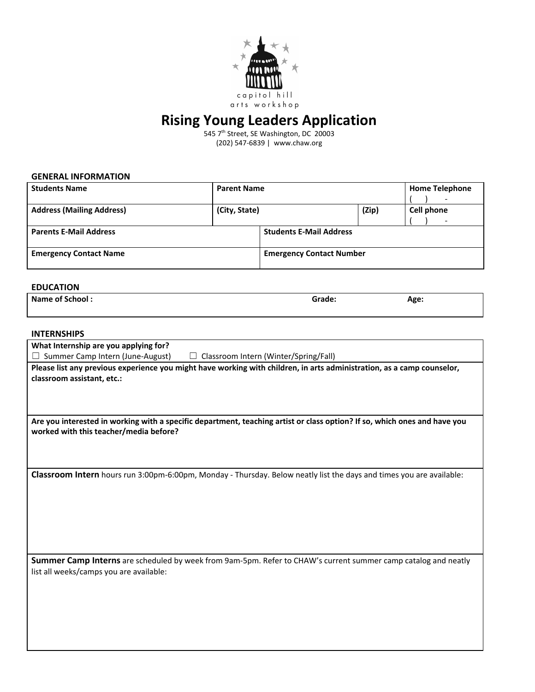

# **Rising Young Leaders Application**

545 7<sup>th</sup> Street, SE Washington, DC 20003 (202) 547-6839 | www.chaw.org

#### **GENERAL INFORMATION**

| <b>Students Name</b>             | <b>Parent Name</b> |                                 |       | <b>Home Telephone</b><br>$\overline{\phantom{a}}$ |
|----------------------------------|--------------------|---------------------------------|-------|---------------------------------------------------|
| <b>Address (Mailing Address)</b> | (City, State)      |                                 | (Zip) | Cell phone                                        |
| <b>Parents E-Mail Address</b>    |                    | <b>Students E-Mail Address</b>  |       |                                                   |
| <b>Emergency Contact Name</b>    |                    | <b>Emergency Contact Number</b> |       |                                                   |

#### **EDUCATION**

| Name of School: | Grade: | Age:<br>$\overline{\phantom{0}}$ |
|-----------------|--------|----------------------------------|
|                 |        |                                  |

#### **INTERNSHIPS**

| What Internship are you applying for?                                                                                                                               |  |  |  |  |
|---------------------------------------------------------------------------------------------------------------------------------------------------------------------|--|--|--|--|
| Summer Camp Intern (June-August)<br>Classroom Intern (Winter/Spring/Fall)                                                                                           |  |  |  |  |
| Please list any previous experience you might have working with children, in arts administration, as a camp counselor,                                              |  |  |  |  |
| classroom assistant, etc.:                                                                                                                                          |  |  |  |  |
|                                                                                                                                                                     |  |  |  |  |
|                                                                                                                                                                     |  |  |  |  |
|                                                                                                                                                                     |  |  |  |  |
| Are you interested in working with a specific department, teaching artist or class option? If so, which ones and have you<br>worked with this teacher/media before? |  |  |  |  |
|                                                                                                                                                                     |  |  |  |  |
|                                                                                                                                                                     |  |  |  |  |
|                                                                                                                                                                     |  |  |  |  |
| Classroom Intern hours run 3:00pm-6:00pm, Monday - Thursday. Below neatly list the days and times you are available:                                                |  |  |  |  |
|                                                                                                                                                                     |  |  |  |  |
|                                                                                                                                                                     |  |  |  |  |
|                                                                                                                                                                     |  |  |  |  |
|                                                                                                                                                                     |  |  |  |  |
|                                                                                                                                                                     |  |  |  |  |
|                                                                                                                                                                     |  |  |  |  |
|                                                                                                                                                                     |  |  |  |  |
| Summer Camp Interns are scheduled by week from 9am-5pm. Refer to CHAW's current summer camp catalog and neatly                                                      |  |  |  |  |
| list all weeks/camps you are available:                                                                                                                             |  |  |  |  |
|                                                                                                                                                                     |  |  |  |  |
|                                                                                                                                                                     |  |  |  |  |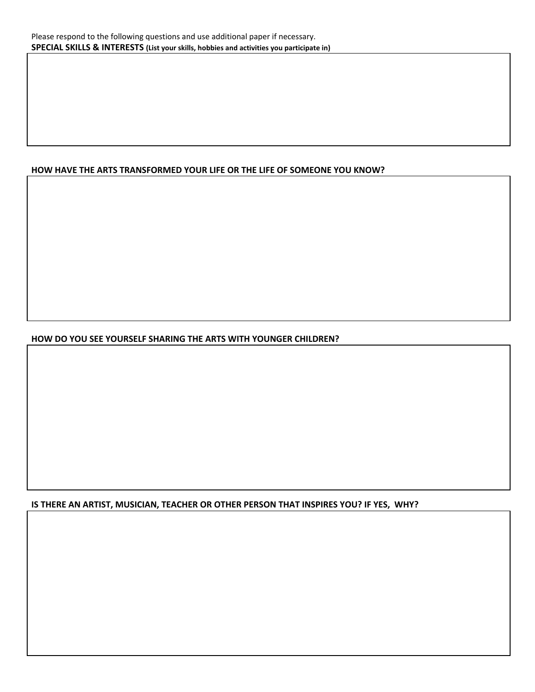# **HOW HAVE THE ARTS TRANSFORMED YOUR LIFE OR THE LIFE OF SOMEONE YOU KNOW?**

# **HOW DO YOU SEE YOURSELF SHARING THE ARTS WITH YOUNGER CHILDREN?**

## **IS THERE AN ARTIST, MUSICIAN, TEACHER OR OTHER PERSON THAT INSPIRES YOU? IF YES, WHY?**